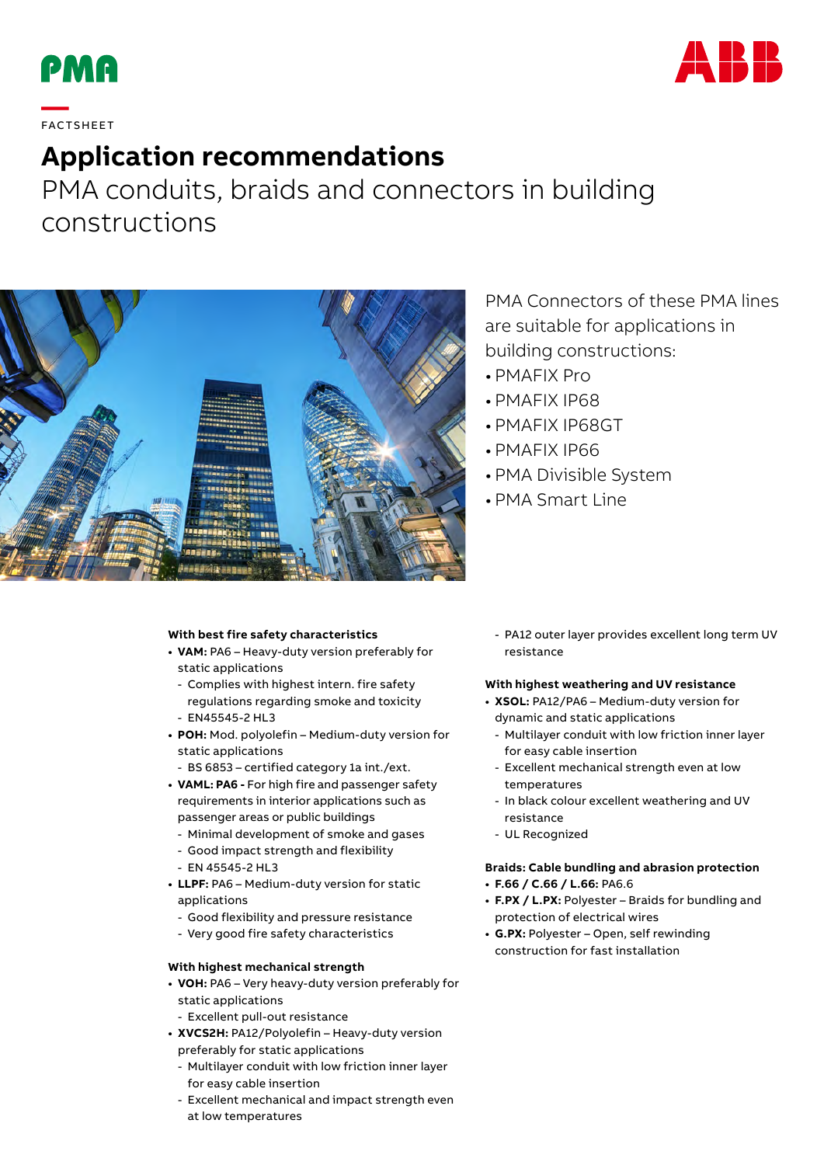



# **—**  FAC TS H EE T

## **Application recommendations**

PMA conduits, braids and connectors in building constructions



### PMA Connectors of these PMA lines are suitable for applications in building constructions:

- PMAFIX Pro
- PMAFIX IP68
- PMAFIX IP68GT
- PMAFIX IP66
- PMA Divisible System
- PMA Smart Line

#### **With best fire safety characteristics**

- **• VAM:** PA6 Heavy-duty version preferably for static applications
	- Complies with highest intern. fire safety regulations regarding smoke and toxicity
	- EN45545-2 HL3
- **• POH:** Mod. polyolefin Medium-duty version for static applications
	- BS 6853 certified category 1a int./ext.
- **• VAML: PA6** For high fire and passenger safety requirements in interior applications such as passenger areas or public buildings
	- Minimal development of smoke and gases
	- Good impact strength and flexibility
	- EN 45545-2 HL3
- **• LLPF:** PA6 Medium-duty version for static applications
	- Good flexibility and pressure resistance
	- Very good fire safety characteristics

#### **With highest mechanical strength**

- **• VOH:** PA6 Very heavy-duty version preferably for static applications
	- Excellent pull-out resistance
- **• XVCS2H:** PA12/Polyolefin Heavy-duty version
- preferably for static applications
- Multilayer conduit with low friction inner layer for easy cable insertion
- Excellent mechanical and impact strength even at low temperatures

- PA12 outer layer provides excellent long term UV resistance

#### **With highest weathering and UV resistance**

- **• XSOL:** PA12/PA6 Medium-duty version for dynamic and static applications
	- Multilayer conduit with low friction inner layer for easy cable insertion
	- Excellent mechanical strength even at low temperatures
	- In black colour excellent weathering and UV resistance
	- UL Recognized

#### **Braids: Cable bundling and abrasion protection**

- **• F.66 / C.66 / L.66:** PA6.6
- **• F.PX / L.PX:** Polyester Braids for bundling and protection of electrical wires
- **• G.PX:** Polyester Open, self rewinding construction for fast installation